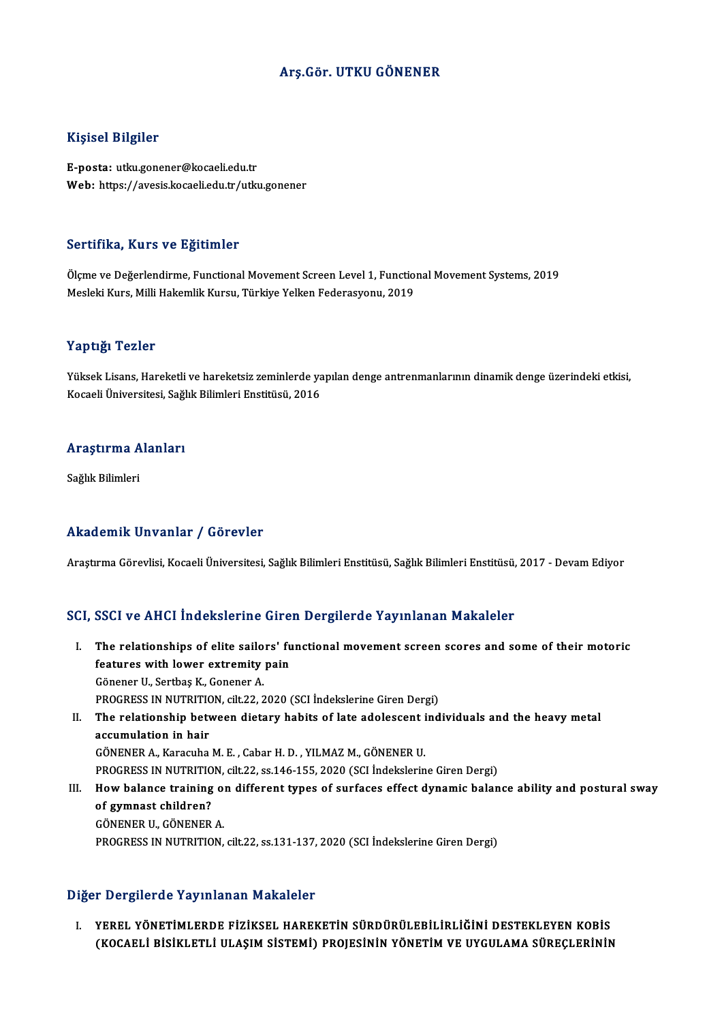# Arş.Gör. UTKU GÖNENER

### Kişisel Bilgiler

E-posta: utku.gonener@kocaeli.edu.tr Web: https://avesis.kocaeli.edu.tr/utku.gonener

### Sertifika, Kurs ve Eğitimler

S<mark>ertifika, Kurs ve Eğitimler</mark><br>Ölçme ve Değerlendirme, Functional Movement Screen Level 1, Functional Movement Systems, 2019<br>Moskki Kurs, Milli Hakomlik Kursu, Türkiya Yalkan Faderasyonu, 2019 Dor erritei, Frano vo Egrefinior<br>Ölçme ve Değerlendirme, Functional Movement Screen Level 1, Functio:<br>Mesleki Kurs, Milli Hakemlik Kursu, Türkiye Yelken Federasyonu, 2019 Mesleki Kurs, Milli Hakemlik Kursu, Türkiye Yelken Federasyonu, 2019<br>Yaptığı Tezler

Yaptığı Tezler<br>Yüksek Lisans, Hareketli ve hareketsiz zeminlerde yapılan denge antrenmanlarının dinamik denge üzerindeki etkisi,<br>Kogasli Üniversitesi, Seğlık Bilimleri Enstitüsü, 2016 1 ap 1918<br>Yüksek Lisans, Hareketli ve hareketsiz zeminlerde ya<br>Kocaeli Üniversitesi, Sağlık Bilimleri Enstitüsü, 2016

# <sub>Kocaell</sub> universitesi, sagı<br>Araştırma Alanları <mark>Araştırma A</mark><br>Sağlık Bilimleri

# Akademik Unvanlar / Görevler

Araştırma Görevlisi, Kocaeli Üniversitesi, Sağlık Bilimleri Enstitüsü, Sağlık Bilimleri Enstitüsü, 2017 - Devam Ediyor

### SCI, SSCI ve AHCI İndekslerine Giren Dergilerde Yayınlanan Makaleler

- CI, SSCI ve AHCI İndekslerine Giren Dergilerde Yayınlanan Makaleler<br>I. The relationships of elite sailors' functional movement screen scores and some of their motoric<br>features with lewer extremity nein The relationships of elite sailors' functional metallicity of the relationships of elite sailors' function  $\mathcal{C}$  and  $\mathcal{C}$  and  $\mathcal{C}$  and  $\mathcal{C}$  and  $\mathcal{C}$  and  $\mathcal{C}$  and  $\mathcal{C}$  and  $\mathcal{C}$  and  $\mathcal{C}$  an The relationships of elite sailo<br>features with lower extremity<br>Gönener U., Sertbaş K., Gonener A.<br>PROCRESS IN NUTRETION silt 22-2 features with lower extremity pain<br>Gönener U., Sertbaş K., Gonener A.<br>PROGRESS IN NUTRITION, cilt.22, 2020 (SCI İndekslerine Giren Dergi)<br>The relationship hatusen distany babita of late adelessent ind Gönener U., Sertbaş K., Gonener A.<br>PROGRESS IN NUTRITION, cilt.22, 2020 (SCI İndekslerine Giren Dergi)<br>II. The relationship between dietary habits of late adolescent individuals and the heavy metal<br>assumulation in bair
- PROGRESS IN NUTRITION<br>The relationship betweed<br>accumulation in hair The relationship between dietary habits of late adolescent i<br>accumulation in hair<br>GÖNENER A., Karacuha M. E. , Cabar H. D. , YILMAZ M., GÖNENER U.<br>PROCRESS IN NUTRITION sit 22, ss.146,155, 2020 (SCL Indekslerin accumulation in hair<br>GÖNENER A., Karacuha M. E. , Cabar H. D. , YILMAZ M., GÖNENER U.<br>PROGRESS IN NUTRITION, cilt.22, ss.146-155, 2020 (SCI İndekslerine Giren Dergi)

# GÖNENER A., Karacuha M. E. , Cabar H. D. , YILMAZ M., GÖNENER U.<br>PROGRESS IN NUTRITION, cilt.22, ss.146-155, 2020 (SCI İndekslerine Giren Dergi)<br>III. How balance training on different types of surfaces effect dynamic balan PROGRESS IN NUTRITIO<br>How balance training<br>of gymnast children?<br>CÖNENEP U. CÖNENEP How balance training of<br>of gymnast children?<br>GÖNENER U., GÖNENER A.<br>PROCRESS IN NUTRITION of gymnast children?<br>GÖNENER U., GÖNENER A.<br>PROGRESS IN NUTRITION, cilt.22, ss.131-137, 2020 (SCI İndekslerine Giren Dergi)

Diğer Dergilerde Yayınlanan Makaleler

Iğer Dergilerde Yayınlanan Makaleler<br>I. YEREL YÖNETİMLERDE FIZİKSEL HAREKETİN SÜRDÜRÜLEBİLİRLİĞİNİ DESTEKLEYEN KOBİS<br>CEOCAELİ PİSİKLETLİ III ASIM SİSTEMİ) PROJESININ YÖNETIM VE UYCULAMA SÜRECI ERİNİN T BETŞIKTAC TAJTMANAN MAKATETE.<br>YEREL YÖNETİMLERDE FİZİKSEL HAREKETİN SÜRDÜRÜLEBİLİRLİĞİNİ DESTEKLEYEN KOBİS<br>(KOCAELİ BİSİKLETLİ ULAŞIM SİSTEMİ) PROJESİNİN YÖNETİM VE UYGULAMA SÜREÇLERİNİN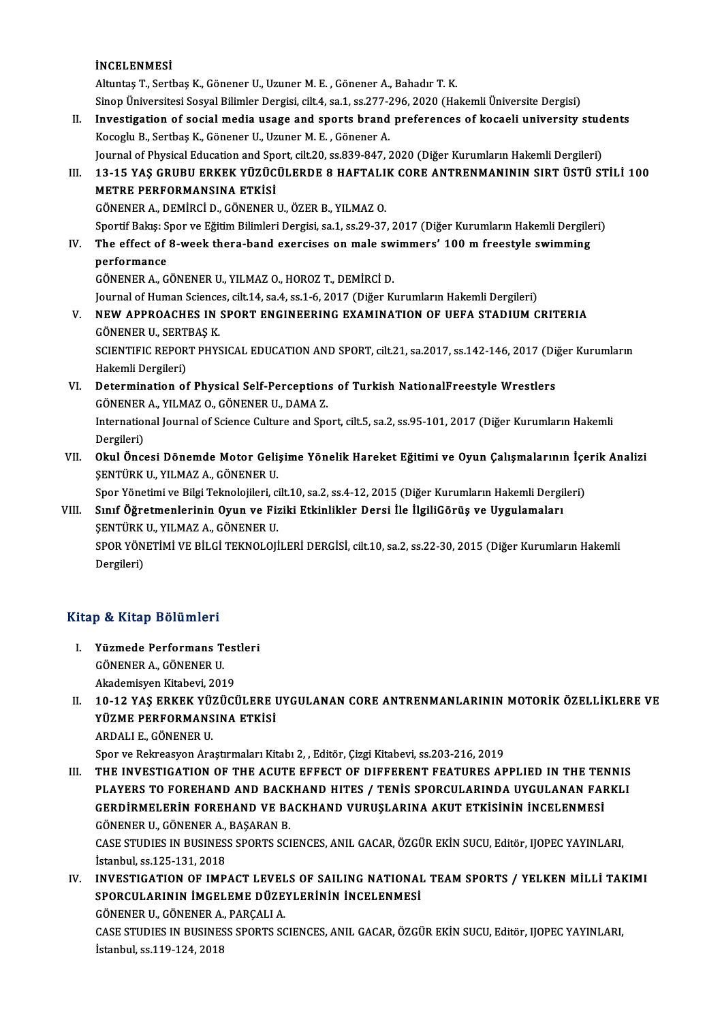## İNCELENMESİ

AltuntaşT.,SertbaşK.,GönenerU.,UzunerM.E. ,GönenerA.,BahadırT.K. Sinop Üniversitesi Sosyal Bilimler Dergisi, cilt.4, sa.1, ss.277-296, 2020 (Hakemli Üniversite Dergisi) Altuntaş T., Sertbaş K., Gönener U., Uzuner M. E. , Gönener A., Bahadır T. K.<br>Sinop Üniversitesi Sosyal Bilimler Dergisi, cilt.4, sa.1, ss.277-296, 2020 (Hakemli Üniversite Dergisi)<br>II. Investigation of social media usage Sinop Üniversitesi Sosyal Bilimler Dergisi, cilt.4, sa.1, ss.277-2<br>Investigation of social media usage and sports brand<br>Kocoglu B., Sertbaş K., Gönener U., Uzuner M. E. , Gönener A.<br>Journal of Physical Education and Sport, Investigation of social media usage and sports brand preferences of kocaeli university stud<br>Kocoglu B., Sertbaş K., Gönener U., Uzuner M. E. , Gönener A.<br>Journal of Physical Education and Sport, cilt.20, ss.839-847, 2020 ( Kocoglu B., Sertbaş K., Gönener U., Uzuner M. E. , Gönener A.<br>Journal of Physical Education and Sport, cilt.20, ss.839-847, 2020 (Diğer Kurumların Hakemli Dergileri)<br>III. 13-15 YAŞ GRUBU ERKEK YÜZÜCÜLERDE 8 HAFTALIK CO Journal of Physical Education and Spo<br>13-15 YAŞ GRUBU ERKEK YÜZÜC<br>METRE PERFORMANSINA ETKİSİ<br>CÖNENEP A DEMİRCİ D. CÖNENEP 13-15 YAŞ GRUBU ERKEK YÜZÜCÜLERDE 8 HAFTALI<br>METRE PERFORMANSINA ETKİSİ<br>GÖNENER A., DEMİRCİ D., GÖNENER U., ÖZER B., YILMAZ O.<br>Spertif Balası Sper ve Fğitim Bilimleri Dergisi se 1-es 29-27 METRE PERFORMANSINA ETKİSİ<br>GÖNENER A., DEMİRCİ D., GÖNENER U., ÖZER B., YILMAZ O.<br>Sportif Bakış: Spor ve Eğitim Bilimleri Dergisi, sa.1, ss.29-37, 2017 (Diğer Kurumların Hakemli Dergileri) GÖNENER A., DEMİRCİ D., GÖNENER U., ÖZER B., YILMAZ O.<br>Sportif Bakış: Spor ve Eğitim Bilimleri Dergisi, sa.1, ss.29-37, 2017 (Diğer Kurumların Hakemli Dergile<br>IV. The effect of 8-week thera-band exercises on male swimm Sportif Bakış: S<br><mark>The effect of</mark><br>performance<br>CÖNENER A. C The effect of 8-week thera-band exercises on male sw<br>performance<br>GÖNENER A., GÖNENER U., YILMAZ O., HOROZ T., DEMİRCİ D.<br>Journal of Human Sciences, silt 14, se 4, se 1, 6, 2017. (Diğen Kı performance<br>GÖNENER A., GÖNENER U., YILMAZ O., HOROZ T., DEMİRCİ D.<br>Journal of Human Sciences, cilt.14, sa.4, ss.1-6, 2017 (Diğer Kurumların Hakemli Dergileri)<br>NEW ARRROACHES IN SRORT ENCINEERINC EXAMINATION OF UEFA STADUI GÖNENER A., GÖNENER U., YILMAZ O., HOROZ T., DEMİRCİ D.<br>Journal of Human Sciences, cilt.14, sa.4, ss.1-6, 2017 (Diğer Kurumların Hakemli Dergileri)<br>V. NEW APPROACHES IN SPORT ENGINEERING EXAMINATION OF UEFA STADIUM CRITERI **Journal of Human Science<br>NEW APPROACHES IN:<br>GÖNENER U., SERTBAŞ K.<br>SCIENTIEIC PEPOPT PUVS** NEW APPROACHES IN SPORT ENGINEERING EXAMINATION OF UEFA STADIUM CRITERIA<br>GÖNENER U., SERTBAŞ K.<br>SCIENTIFIC REPORT PHYSICAL EDUCATION AND SPORT, cilt.21, sa.2017, ss.142-146, 2017 (Diğer Kurumların<br>Hekemli Dergileri) GÖNENER U., SERT<br>SCIENTIFIC REPOR<br>Hakemli Dergileri)<br>Petermination of SCIENTIFIC REPORT PHYSICAL EDUCATION AND SPORT, cilt.21, sa.2017, ss.142-146, 2017 (Dig<br>Hakemli Dergileri)<br>VI. Determination of Physical Self-Perceptions of Turkish NationalFreestyle Wrestlers<br>GÖNENER A VILMAZ O GÖNENER IL Hakemli Dergileri)<br>Determination of Physical Self-Perception:<br>GÖNENER A., YILMAZ O., GÖNENER U., DAMA Z.<br>International Journal of Science Gulture and Spe International Journal of Science Culture and Sport, cilt.5, sa.2, ss.95-101, 2017 (Diğer Kurumların Hakemli Dergileri) GÖNENER A., YILMAZ O., GÖNENER U., DAMA Z. International Journal of Science Culture and Sport, cilt.5, sa.2, ss.95-101, 2017 (Diğer Kurumların Hakemli<br>Dergileri)<br>VII. Okul Öncesi Dönemde Motor Gelişime Yönelik Hareket Eğitimi ve Oyun Çalışmalarının İçerik Analizi<br>S Dergileri)<br>Okul Öncesi Dönemde Motor Geli:<br>ŞENTÜRK U., YILMAZ A., GÖNENER U.<br>Sper Vänetimi ve Bilgi Telmelejileri, d Okul Öncesi Dönemde Motor Gelişime Yönelik Hareket Eğitimi ve Oyun Çalışmalarının İçe<br>ŞENTÜRK U., YILMAZ A., GÖNENER U.<br>Spor Yönetimi ve Bilgi Teknolojileri, cilt.10, sa.2, ss.4-12, 2015 (Diğer Kurumların Hakemli Dergileri ŞENTÜRK U., YILMAZ A., GÖNENER U.<br>Spor Yönetimi ve Bilgi Teknolojileri, cilt.10, sa.2, ss.4-12, 2015 (Diğer Kurumların Hakemli Dergi<br>VIII. Sınıf Öğretmenlerinin Oyun ve Fiziki Etkinlikler Dersi İle İlgiliGörüş ve Uygulamal Spor Yönetimi ve Bilgi Teknolojileri, ci<br>Sınıf <mark>Öğretmenlerinin Oyun ve Fiz</mark><br>ŞENTÜRK U., YILMAZ A., GÖNENER U.<br>SPOP YÖNETİMİ VE PİL Cİ TEKNOLOJİ Sınıf Öğretmenlerinin Oyun ve Fiziki Etkinlikler Dersi İle İlgiliGörüş ve Uygulamaları<br>ŞENTÜRK U., YILMAZ A., GÖNENER U.<br>SPOR YÖNETİMİ VE BİLGİ TEKNOLOJİLERİ DERGİSİ, cilt.10, sa.2, ss.22-30, 2015 (Diğer Kurumların Hakemli

ŞENTÜRK<br>SPOR YÖN<br>Dergileri)

# Dergileri)<br>Kitap & Kitap Bölümleri

- I. Yüzmede Performans Testleri GÖNENERA.,GÖNENERU. Akademisyen Kitabevi, 2019
- II. 10-12 YAS ERKEK YÜZÜCÜLERE UYGULANAN CORE ANTRENMANLARININ MOTORİK ÖZELLİKLERE VE YÜZME PERFORMANSINA ETKİSİ ARDALIE.,GÖNENERU.

Spor ve Rekreasyon Araştırmaları Kitabı 2, , Editör, Çizgi Kitabevi, ss.203-216, 2019

III. THE INVESTIGATION OF THE ACUTE EFFECT OF DIFFERENT FEATURES APPLIED IN THE TENNIS Spor ve Rekreasyon Araştırmaları Kitabı 2, , Editör, Çizgi Kitabevi, ss.203-216, 2019<br>THE INVESTIGATION OF THE ACUTE EFFECT OF DIFFERENT FEATURES APPLIED IN THE TENNIS<br>PLAYERS TO FOREHAND AND BACKHAND HITES / TENİS SPORCUL THE INVESTIGATION OF THE ACUTE EFFECT OF DIFFERENT FEATURES APPLIED IN THE TEI<br>PLAYERS TO FOREHAND AND BACKHAND HITES / TENİS SPORCULARINDA UYGULANAN FAI<br>GERDİRMELERİN FOREHAND VE BACKHAND VURUŞLARINA AKUT ETKİSİNİN İNCELE PLAYERS TO FOREHAND AND BACK<br>GERDİRMELERİN FOREHAND VE BA<br>GÖNENER U., GÖNENER A., BAŞARAN B.<br>CASE STUDIES IN BUSINESS SDORTS SCI GERDİRMELERİN FOREHAND VE BACKHAND VURUŞLARINA AKUT ETKİSİNİN İNCELENMESİ<br>GÖNENER U., GÖNENER A., BAŞARAN B.<br>CASE STUDIES IN BUSINESS SPORTS SCIENCES, ANIL GACAR, ÖZGÜR EKİN SUCU, Editör, IJOPEC YAYINLARI,<br>İstanbul 98.125.

GÖNENER U., GÖNENER A.,<br>CASE STUDIES IN BUSINES.<br>İstanbul, ss.125-131, 2018<br>INVESTIC ATION OF IMB CASE STUDIES IN BUSINESS SPORTS SCIENCES, ANIL GACAR, ÖZGÜR EKİN SUCU, Editör, IJOPEC YAYINLARI,<br>İstanbul, ss.125-131, 2018<br>IV. INVESTIGATION OF IMPACT LEVELS OF SAILING NATIONAL TEAM SPORTS / YELKEN MİLLİ TAKIMI

İstanbul, ss.125-131, 2018<br>INVESTIGATION OF IMPACT LEVELS OF SAILING NATIONAI<br>SPORCULARININ İMGELEME DÜZEYLERİNİN İNCELENMESİ<br>CÖNENER IL GÖNENER A. PARCALLA INVESTIGATION OF IMPACT LEVEL<br>SPORCULARININ İMGELEME DÜZE<br>GÖNENER U., GÖNENER A., PARÇALI A.<br>CASE STUDIES IN BUSINESS SPORTS SC

GÖNENER U., GÖNENER A., PARCALI A.

SPORCULARININ İMGELEME DÜZEYLERİNİN İNCELENMESİ<br>GÖNENER U., GÖNENER A., PARÇALI A.<br>CASE STUDIES IN BUSINESS SPORTS SCIENCES, ANIL GACAR, ÖZGÜR EKİN SUCU, Editör, IJOPEC YAYINLARI,<br>İstanbul, ss.119-124, 2018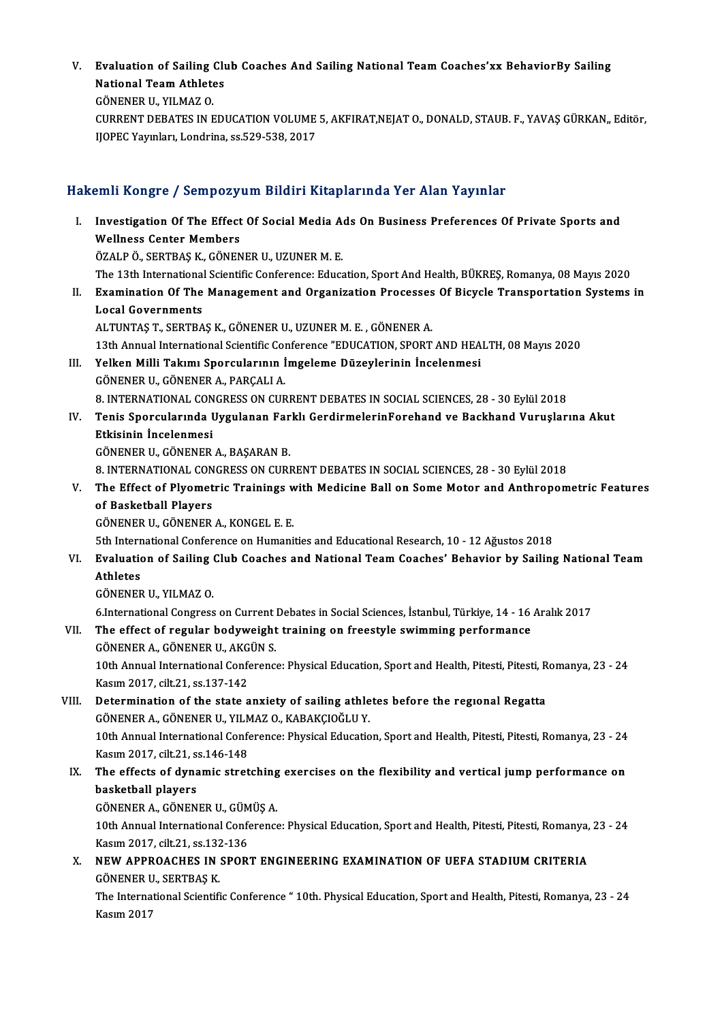V. Evaluation of Sailing Club Coaches And Sailing National TeamCoaches'xx BehaviorBy Sailing Evaluation of Sailing Clu<br>National Team Athletes<br>CÖNENER U. VU MAZ O Evaluation of Sailing<br>National Team Athlete<br>GÖNENER U., YILMAZ O.<br>CUPPENT DEPATES IN E National Team Athletes<br>GÖNENER U., YILMAZ O.<br>CURRENT DEBATES IN EDUCATION VOLUME 5, AKFIRAT,NEJAT O., DONALD, STAUB. F., YAVAŞ GÜRKAN,, Editör,<br>HOPEC Yavrıları, Londrina, 29,529, 2022, 2017

GÖNENER U., YILMAZ O.<br>CURRENT DEBATES IN EDUCATION VOLUME<br>IJOPEC Yayınları, Londrina, ss.529-538, 2017

# 1J0PEC Yayınları, Londrina, ss.529-538, 2017<br>Hakemli Kongre / Sempozyum Bildiri Kitaplarında Yer Alan Yayınlar

akemli Kongre / Sempozyum Bildiri Kitaplarında Yer Alan Yayınlar<br>I. Investigation Of The Effect Of Social Media Ads On Business Preferences Of Private Sports and<br>Wellness Conter Members Mini Rongre / Sempozy<br>Investigation Of The Effect<br>Wellness Center Members Investigation Of The Effect Of Social Media A<br>Wellness Center Members<br>ÖZALP Ö., SERTBAŞ K., GÖNENER U., UZUNER M. E.<br>The 12th International Scientific Conference: Educe Wellness Center Members<br>ÖZALP Ö., SERTBAŞ K., GÖNENER U., UZUNER M. E.<br>The 13th International Scientific Conference: Education, Sport And Health, BÜKREŞ, Romanya, 08 Mayıs 2020<br>Evamination Of The Managament and Organizatio ÖZALP Ö., SERTBAŞ K., GÖNENER U., UZUNER M. E.<br>The 13th International Scientific Conference: Education, Sport And Health, BÜKREŞ, Romanya, 08 Mayıs 2020<br>II. Examination Of The Management and Organization Processes Of Bicyc The 13th International<br>Examination Of The<br>Local Governments<br>ALTUNTAS T. SEPTPA ALTUNTAŞT.,SERTBAŞK.,GÖNENERU.,UZUNERM.E. ,GÖNENERA. Local Governments<br>ALTUNTAŞ T., SERTBAŞ K., GÖNENER U., UZUNER M. E. , GÖNENER A.<br>13th Annual International Scientific Conference "EDUCATION, SPORT AND HEALTH, 08 Mayıs 2020<br>Yalkan Milli Tekımı Sporsularının İmgeleme Dürevl ALTUNTAŞ T., SERTBAŞ K., GÖNENER U., UZUNER M. E. , GÖNENER A.<br>13th Annual International Scientific Conference "EDUCATION, SPORT AND HEA<br>III. Yelken Milli Takımı Sporcularının İmgeleme Düzeylerinin İncelenmesi 13th Annual International Scientific Com<br>**Yelken Milli Takımı Sporcularının İ**<br>GÖNENER U., GÖNENER A., PARÇALI A.<br>8. INTERNATIONAL CONCRESS ON CUP 111. Yelken Milli Takımı Sporcularının İmgeleme Düzeylerinin İncelenmesi<br>GÖNENER U., GÖNENER A., PARÇALI A.<br>8. INTERNATIONAL CONGRESS ON CURRENT DEBATES IN SOCIAL SCIENCES, 28 - 30 Eylül 2018 GÖNENER U., GÖNENER A., PARÇALI A.<br>8. INTERNATIONAL CONGRESS ON CURRENT DEBATES IN SOCIAL SCIENCES, 28 - 30 Eylül 2018<br>IV. Tenis Sporcularında Uygulanan Farklı GerdirmelerinForehand ve Backhand Vuruşlarına Akut<br>Etkisin 8. INTERNATIONAL CON<br>Tenis Sporcularında I<br>Etkisinin İncelenmesi<br>CÖNENER IL CÖNENER Tenis Sporcularında Uygulanan Far<br>Etkisinin İncelenmesi<br>GÖNENER U., GÖNENER A., BAŞARAN B.<br>9. INTERNATIONAL CONCRESS ON CURI Etkisinin İncelenmesi<br>GÖNENER U., GÖNENER A., BAŞARAN B.<br>8. INTERNATIONAL CONGRESS ON CURRENT DEBATES IN SOCIAL SCIENCES, 28 - 30 Eylül 2018<br>The Effect of Plyometric Trainings with Modisine Pall on Some Motor and Anthronom GÖNENER U., GÖNENER A., BAŞARAN B.<br>8. INTERNATIONAL CONGRESS ON CURRENT DEBATES IN SOCIAL SCIENCES, 28 - 30 Eylül 2018<br>7. The Effect of Plyometric Trainings with Medicine Ball on Some Motor and Anthropometric Features<br>6. T **8. INTERNATIONAL CON<br>The Effect of Plyomet<br>of Basketball Players<br>CÖNENER U. CÖNENER** GÖNENERU.,GÖNENERA.,KONGEL E.E. 5th International Conference on Humanities and Educational Research, 10 - 12 Ağustos 2018 GÖNENER U., GÖNENER A., KONGEL E. E.<br>5th International Conference on Humanities and Educational Research, 10 - 12 Ağustos 2018<br>VI. Evaluation of Sailing Club Coaches and National Team Coaches' Behavior by Sailing Natio **5th Intern<br>Evaluatio<br>Athletes<br>CÖNENER** Evaluation of Sailing<br>Athletes<br>GÖNENER U., YILMAZ O.<br>6 International Congress 6.<br>19. GÖNENER U., YILMAZ O.<br>6.International Congress on Current Debates in Social Sciences, İstanbul, Türkiye, 14 - 16 Aralık 2017 GÖNENER U., YILMAZ O.<br>6.International Congress on Current Debates in Social Sciences, İstanbul, Türkiye, 14 - 16<br>VII. The effect of regular bodyweight training on freestyle swimming performance<br>CÖNENER A. CÖNENER II. AKÇÜN 6.International Congress on Current<br>The effect of regular bodyweight<br>GÖNENER A., GÖNENER U., AKGÜN S.<br>10th Annual International Conference The effect of regular bodyweight training on freestyle swimming performance<br>GÖNENER A., GÖNENER U., AKGÜN S.<br>10th Annual International Conference: Physical Education, Sport and Health, Pitesti, Pitesti, Romanya, 23 - 24<br>Ka GÖNENER A., GÖNENER U., AKG<br>10th Annual International Confe<br>Kasım 2017, cilt.21, ss.137-142<br>Determination of the state a 10th Annual International Conference: Physical Education, Sport and Health, Pitesti, Pitesti, R<br>Kasım 2017, cilt.21, ss.137-142<br>VIII. Determination of the state anxiety of sailing athletes before the regional Regatta<br>CÖNEN Kasım 2017, cilt.21, ss.137-142<br>Determination of the state anxiety of sailing athletes before the regional Regatta<br>GÖNENER A., GÖNENER U., YILMAZ O., KABAKÇIOĞLU Y. Determination of the state anxiety of sailing athletes before the regional Regatta<br>GÖNENER A., GÖNENER U., YILMAZ O., KABAKÇIOĞLU Y.<br>10th Annual International Conference: Physical Education, Sport and Health, Pitesti, Pite GÖNENER A., GÖNENER U., YILM<br>10th Annual International Confe<br>Kasım 2017, cilt.21, ss.146-148<br>The effects of dynamis strat 10th Annual International Conference: Physical Education, Sport and Health, Pitesti, Pitesti, Romanya, 23 - 24<br>Kasım 2017, cilt.21, ss.146-148<br>IX. The effects of dynamic stretching exercises on the flexibility and vertical Kasım 2017, cilt.21, s:<br>The effects of dyna<br>basketball players The effects of dynamic stretching<br>basketball players<br>GÖNENER A., GÖNENER U., GÜMÜŞ A.<br>10th Annual International Conference basketball players<br>GÖNENER A., GÖNENER U., GÜMÜŞ A.<br>10th Annual International Conference: Physical Education, Sport and Health, Pitesti, Pitesti, Romanya, 23 - 24 GÖNENER A., GÖNENER U., GÜMÜŞ A. X. NEW APPROACHES IN SPORT ENGINEERING EXAMINATION OF UEFA STADIUM CRITERIA<br>GÖNENER U., SERTBAS K. Kasım 2017, cilt 21, ss 132-136 NEW APPROACHES IN SPORT ENGINEERING EXAMINATION OF UEFA STADIUM CRITERIA<br>GÖNENER U., SERTBAŞ K.<br>The International Scientific Conference " 10th. Physical Education, Sport and Health, Pitesti, Romanya, 23 - 24<br>Kasım 2017 GÖNENER U<br>The Interna<br>Kasım 2017